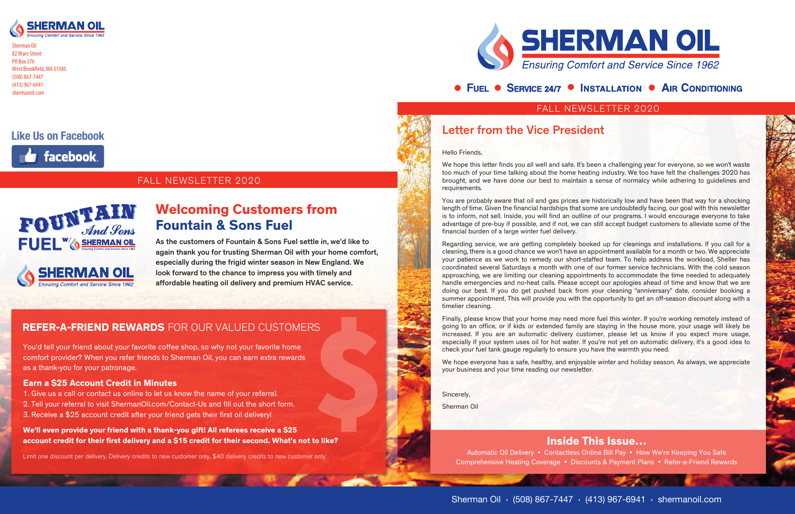## FALL NEWSLETTER 2020



Sherman Oil 82 Ware Street PO Box 376 West Brookfield, MA 01585 (508) 867-7447 (413) 967-6941 shermanoil.com

## • FUEL • SERVICE 24/7 • INSTALLATION • AIR CONDITIONING

## FALL NEWSLETTER 2020





## **Like Us on Facebook**



## Inside This Issue…

Automatic Oil Delivery • Contactless Online Bill Pay • How We're Keeping You Safe Comprehensive Heating Coverage • Discounts & Payment Plans • Refer-a-Friend Rewards



We hope this letter finds you all well and safe. It's been a challenging year for everyone, so we won't waste too much of your time talking about the home heating industry. We too have felt the challenges 2020 has brought, and we have done our best to maintain a sense of normalcy while adhering to guidelines and requirements.

## Letter from the Vice President

Hello Friends,

You are probably aware that oil and gas prices are historically low and have been that way for a shocking length of time. Given the financial hardships that some are undoubtedly facing, our goal with this newsletter is to inform, not sell. Inside, you will find an outline of our programs. I would encourage everyone to take advantage of pre-buy if possible, and if not, we can still accept budget customers to alleviate some of the financial burden of a large winter fuel delivery.

Regarding service, we are getting completely booked up for cleanings and installations. If you call for a cleaning, there is a good chance we won't have an appointment available for a month or two. We appreciate your patience as we work to remedy our short-staffed team. To help address the workload, Sheller has coordinated several Saturdays a month with one of our former service technicians. With the cold season approaching, we are limiting our cleaning appointments to accommodate the time needed to adequately handle emergencies and no-heat calls. Please accept our apologies ahead of time and know that we are doing our best. If you do get pushed back from your cleaning "anniversary" date, consider booking a summer appointment. This will provide you with the opportunity to get an off-season discount along with a timelier cleaning.

Finally, please know that your home may need more fuel this winter. If you're working remotely instead of going to an office, or if kids or extended family are staying in the house more, your usage will likely be increased. If you are an automatic delivery customer, please let us know if you expect more usage, especially if your system uses oil for hot water. If you're not yet on automatic delivery, it's a good idea to check your fuel tank gauge regularly to ensure you have the warmth you need.

We hope everyone has a safe, healthy, and enjoyable winter and holiday season. As always, we appreciate your business and your time reading our newsletter.

Sincerely,

Sherman Oil

As the customers of Fountain & Sons Fuel settle in, we'd like to again thank you for trusting Sherman Oil with your home comfort, especially during the frigid winter season in New England. We look forward to the chance to impress you with timely and affordable heating oil delivery and premium HVAC service.

# Welcoming Customers from Fountain & Sons Fuel

## REFER-A-FRIEND REWARDS FOR OUR VALUED CUSTOMERS

You'd tell your friend about your favorite coffee shop, so why not your favorite home comfort provider? When you refer friends to Sherman Oil, you can earn extra rewards as a thank-you for your patronage.

### Earn a \$25 Account Credit in Minutes

- 1. Give us a call or contact us online to let us know the name of your referral.
- 2. Tell your referral to visit ShermanOil.com/Contact-Us and fill out the short form. 3. Receive a \$25 account credit after your friend gets their first oil delivery!

We'll even provide your friend with a thank-you gift! All referees receive a \$25 account credit for their first delivery and a \$15 credit for their second. What's not to like?

Limit one discount per delivery. Delivery credits to new customer only. \$40 delivery credits to new customer only.